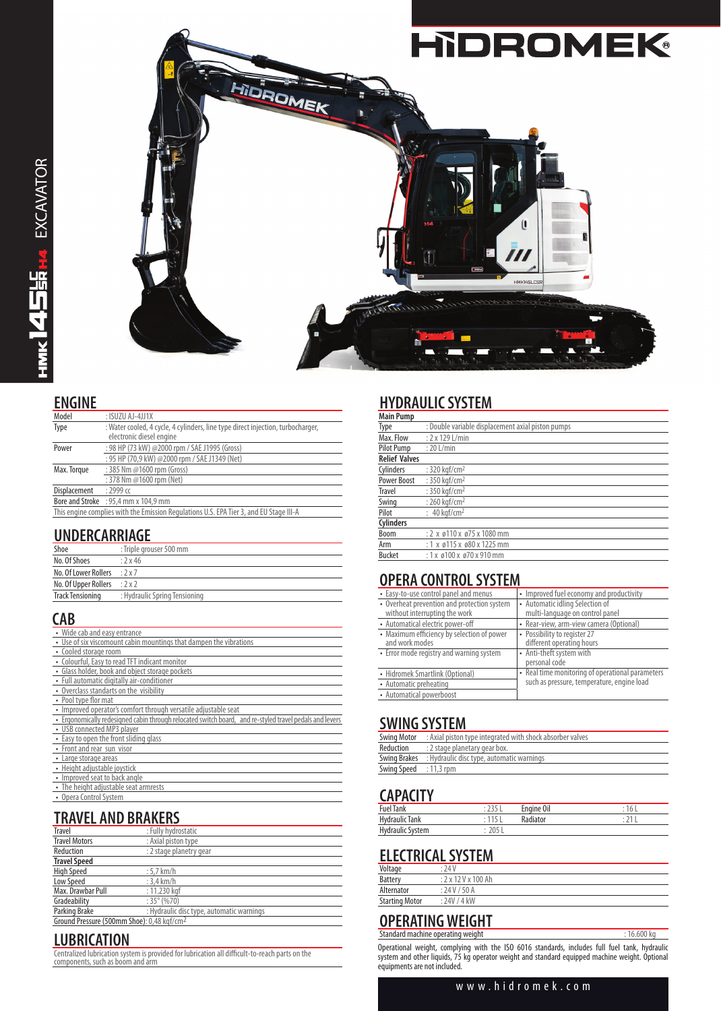

**ENGINE**

| --------                                                                               |                                                                                                             |  |
|----------------------------------------------------------------------------------------|-------------------------------------------------------------------------------------------------------------|--|
| Model                                                                                  | : ISUZU AJ-4JJ1X                                                                                            |  |
| Type                                                                                   | : Water cooled, 4 cycle, 4 cylinders, line type direct injection, turbocharger,<br>electronic diesel engine |  |
| Power                                                                                  | : 98 HP (73 kW) @2000 rpm / SAE J1995 (Gross)                                                               |  |
|                                                                                        | : 95 HP (70,9 kW) @2000 rpm / SAE J1349 (Net)                                                               |  |
| Max. Torque                                                                            | : 385 Nm @1600 rpm (Gross)                                                                                  |  |
|                                                                                        | : 378 Nm @1600 rpm (Net)                                                                                    |  |
| Displacement                                                                           | $: 2999$ cc                                                                                                 |  |
|                                                                                        | Bore and Stroke : 95,4 mm x 104,9 mm                                                                        |  |
| This engine complies with the Emission Regulations U.S. EPA Tier 3, and EU Stage III-A |                                                                                                             |  |

## **UNDERCARRIAGE**

| Shoe                                | : Triple grouser 500 mm       |
|-------------------------------------|-------------------------------|
| No. Of Shoes                        | :2x46                         |
| No. Of Lower Rollers                | .2x7                          |
| No. Of Upper Rollers $: 2 \times 2$ |                               |
| Track Tensioning                    | : Hydraulic Spring Tensioning |

#### **CAB**

| • Wide cab and easy entrance                                                                            |
|---------------------------------------------------------------------------------------------------------|
| • Use of six viscomount cabin mountings that dampen the vibrations                                      |
| • Cooled storage room                                                                                   |
| • Colourful, Easy to read TFT indicant monitor                                                          |
| • Glass holder, book and object storage pockets                                                         |
| • Full automatic digitally air-conditioner                                                              |
| • Overclass standarts on the visibility                                                                 |
| • Pool type flor mat                                                                                    |
| • Improved operator's comfort through versatile adjustable seat                                         |
| . Ergonomically redesigned cabin through relocated switch board, and re-styled travel pedals and levers |
| • USB connected MP3 player                                                                              |
| • Easy to open the front sliding glass                                                                  |
| • Front and rear sun visor                                                                              |
| • Large storage areas                                                                                   |
| • Height adjustable joystick                                                                            |
| • Improved seat to back angle                                                                           |
| • The height adjustable seat armrests                                                                   |
| • Opera Control System                                                                                  |
|                                                                                                         |

# **TRAVEL AND BRAKERS**

| <b>Travel</b>                                          | : Fully hydrostatic                       |
|--------------------------------------------------------|-------------------------------------------|
| <b>Travel Motors</b>                                   | : Axial piston type                       |
| Reduction                                              | : 2 stage planetry gear                   |
| <b>Travel Speed</b>                                    |                                           |
| <b>High Speed</b>                                      | $:5.7$ km/h                               |
| Low Speed                                              | $: 3.4$ km/h                              |
| Max. Drawbar Pull                                      | $: 11.230$ kaf                            |
| Gradeability                                           | $:35^{\circ}(%70)$                        |
| Parking Brake                                          | : Hydraulic disc type, automatic warnings |
| Ground Pressure (500mm Shoe): 0,48 kgf/cm <sup>2</sup> |                                           |

## **LUBRICATION**

Centralized lubrication system is provided for lubrication all difficult-to-reach parts on the components, such as boom and arm

# **HYDRAULIC SYSTEM**

| <b>Main Pump</b>     |                                                   |
|----------------------|---------------------------------------------------|
| Type                 | : Double variable displacement axial piston pumps |
| Max. Flow            | $: 2 \times 129$ L/min                            |
| <b>Pilot Pump</b>    | $: 20$ L/min                                      |
| <b>Relief Valves</b> |                                                   |
| Cylinders            | : 320 kaf/cm <sup>2</sup>                         |
| <b>Power Boost</b>   | : 350 kaf/cm <sup>2</sup>                         |
| <b>Travel</b>        | : 350 kgf/cm <sup>2</sup>                         |
| Swing                | : 260 kaf/cm <sup>2</sup>                         |
| Pilot                | : $40 \text{ kgf/cm}^2$                           |
| <b>Cylinders</b>     |                                                   |
| <b>Boom</b>          | $: 2 \times 110 \times 175 \times 1080$ mm        |
| Arm                  | $: 1 \times 0115 \times 080 \times 1225$ mm       |
| <b>Bucket</b>        | $: 1x$ ø100 x ø70 x 910 mm                        |

## **OPERA CONTROL SYSTEM**

| • Easy-to-use control panel and menus       | • Improved fuel economy and productivity         |  |  |
|---------------------------------------------|--------------------------------------------------|--|--|
| • Overheat prevention and protection system | • Automatic idling Selection of                  |  |  |
| without interrupting the work               | multi-language on control panel                  |  |  |
| • Automatical electric power-off            | • Rear-view, arm-view camera (Optional)          |  |  |
| • Maximum efficiency by selection of power  | • Possibility to register 27                     |  |  |
| and work modes                              | different operating hours                        |  |  |
| • Error mode registry and warning system    | • Anti-theft system with                         |  |  |
|                                             | personal code                                    |  |  |
| • Hidromek Smartlink (Optional)             | • Real time monitoring of operational parameters |  |  |
| • Automatic preheating                      | such as pressure, temperature, engine load       |  |  |
| • Automatical powerboost                    |                                                  |  |  |

#### **SWING SYSTEM**

| Swing Motor            | : Axial piston type integrated with shock absorber valves     |
|------------------------|---------------------------------------------------------------|
| Reduction              | : 2 stage planetary gear box.                                 |
|                        | <b>Swing Brakes</b> : Hydraulic disc type, automatic warnings |
| Swing Speed : 11,3 rpm |                                                               |

## **CAPACITY**

| ---------               |     |                 |  |
|-------------------------|-----|-----------------|--|
| <b>Fuel Tank</b>        |     | Engine Oil      |  |
| Hydraulic Tank          |     | <b>Radiator</b> |  |
| <b>Hydraulic System</b> | ገበር |                 |  |
|                         |     |                 |  |

# **ELECTRICAL SYSTEM**

| Voltage               | : 74V         |
|-----------------------|---------------|
| <b>Battery</b>        | : 2x12Vx100Ah |
| Alternator            | : 24 V / 50 A |
| <b>Starting Motor</b> | : 24V / 4kW   |
|                       |               |

#### **OPERATING WEIGHT** Standard machine operating weight : 16.600 kg

Operational weight, complying with the ISO 6016 standards, includes full fuel tank, hydraulic system and other liquids, 75 kg operator weight and standard equipped machine weight. Optional equipments are not included.

#### www.hidromek.com